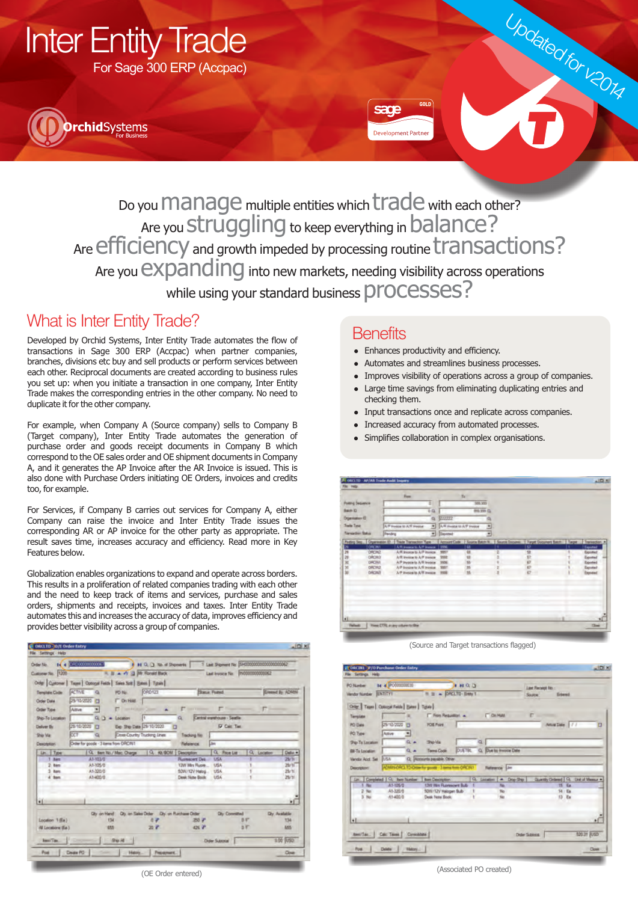





Do you  $m$ anage multiple entities which  $\text{trace}$  with each other? Are you **struggling** to keep everything in **balance?** Are efficiency and growth impeded by processing routine transactions? Are you  $expanding$  into new markets, needing visibility across operations while using your standard business **DIOCESSES**?

## What is Inter Entity Trade?

Developed by Orchid Systems, Inter Entity Trade automates the flow of transactions in Sage 300 ERP (Accpac) when partner companies, branches, divisions etc buy and sell products or perform services between each other. Reciprocal documents are created according to business rules you set up: when you initiate a transaction in one company, Inter Entity Trade makes the corresponding entries in the other company. No need to duplicate it for the other company.

For example, when Company A (Source company) sells to Company B (Target company), Inter Entity Trade automates the generation of purchase order and goods receipt documents in Company B which correspond to the OE sales order and OE shipment documents in Company A, and it generates the AP Invoice after the AR Invoice is issued. This is also done with Purchase Orders initiating OE Orders, invoices and credits too, for example.

For Services, if Company B carries out services for Company A, either Company can raise the invoice and Inter Entity Trade issues the corresponding AR or AP invoice for the other party as appropriate. The result saves time, increases accuracy and efficiency. Read more in Key Features below.

Globalization enables organizations to expand and operate across borders. This results in a proliferation of related companies trading with each other and the need to keep track of items and services, purchase and sales orders, shipments and receipts, invoices and taxes. Inter Entity Trade automates this and increases the accuracy of data, improves efficiency and provides better visibility across a group of companies.



## **Benefits**

- Enhances productivity and efficiency.
- Automates and streamlines business processes.
- l Improves visibility of operations across a group of companies.

Updated for v2014

- l Large time savings from eliminating duplicating entries and checking them.
- l Input transactions once and replicate across companies.
- l Increased accuracy from automated processes.
- Simplifies collaboration in complex organisations.

|                                                                                              |                |                                                                  | <b>Free</b>                                                   |                                                                                             |                      | Tu.            |  |                                                                                    |                     |
|----------------------------------------------------------------------------------------------|----------------|------------------------------------------------------------------|---------------------------------------------------------------|---------------------------------------------------------------------------------------------|----------------------|----------------|--|------------------------------------------------------------------------------------|---------------------|
| <b>Futbry Sequence</b><br>Base D.<br>Disamator D<br><b>Trade Taxe</b><br><b>Tenader Sala</b> |                | 0.01<br>a<br>A/F Fordige to A/R President<br>च<br><b>Pending</b> |                                                               | 509,995<br>843, 339 GL<br>222222<br>A/R Project to A/P Invested<br><sup>*</sup> Dental<br>× |                      |                |  |                                                                                    |                     |
|                                                                                              |                |                                                                  |                                                               |                                                                                             |                      |                |  |                                                                                    |                     |
|                                                                                              |                |                                                                  |                                                               |                                                                                             |                      |                |  |                                                                                    |                     |
|                                                                                              |                |                                                                  |                                                               |                                                                                             |                      |                |  |                                                                                    |                     |
|                                                                                              |                |                                                                  |                                                               |                                                                                             |                      |                |  |                                                                                    |                     |
|                                                                                              |                |                                                                  | Peding Skg., Organisation ID.   Trade Transaction Type :      |                                                                                             |                      |                |  | Account Code   Source Batch N.,   Source Documes,   Target Document Batch   Target | Transpotion #       |
| Þ                                                                                            | ORDNI          |                                                                  | A/R avenue to A/P avenue   5000                               |                                                                                             |                      | <b>I</b>       |  | <b>SP</b>                                                                          | <b>Texas</b>        |
|                                                                                              | DRON2          |                                                                  | A/R inspice to A/P inspice                                    |                                                                                             | 9807                 | <b>GI</b>      |  | 望口                                                                                 | Exported            |
|                                                                                              | ORCRO<br>DRONT |                                                                  | A/R inviting to A/P investment<br>A/P Invasion to A/R Invoice |                                                                                             | <b>Steam</b><br>3926 |                |  |                                                                                    | Exported<br>Equated |
|                                                                                              | DACA2          |                                                                  | A/P logica to A/R initials                                    |                                                                                             | 9957                 |                |  | $\frac{1}{n}$                                                                      | Exported            |
| 高地星光洞                                                                                        | DACINE         |                                                                  | A.P Instance in A.V. Installer                                |                                                                                             | <b>SHOW</b>          | $\overline{1}$ |  | K7<br>٠                                                                            | Expirated           |
|                                                                                              |                |                                                                  |                                                               |                                                                                             |                      |                |  |                                                                                    |                     |
|                                                                                              |                |                                                                  |                                                               |                                                                                             |                      |                |  |                                                                                    |                     |
| u                                                                                            |                |                                                                  |                                                               |                                                                                             |                      |                |  |                                                                                    | ۰C                  |

(Source and Target transactions flagged)

| <b>PO Number</b>       | <b>M</b> & PO00000030                         | <b>INGS</b>                                          | Law Flecket No. .             |                   |                 |                    |                                    |
|------------------------|-----------------------------------------------|------------------------------------------------------|-------------------------------|-------------------|-----------------|--------------------|------------------------------------|
| Viendor Number         | ENTITY                                        | - DROUTD-Ever 1<br>無重                                |                               | Estend<br>Source: |                 |                    |                                    |
|                        | Order Tases   Optional Felds   Bates   Tigula |                                                      |                               |                   |                 |                    |                                    |
| Terolate               |                                               | <b>IT From Requestion A.</b>                         | <b>Circle</b>                 |                   | ۳               |                    |                                    |
| PO Date                | 29/10/2020<br>Ð                               | FOR Frint                                            |                               |                   |                 | Anival Date   / /  | n                                  |
| PO Type                | Active<br>ᅬ                                   |                                                      |                               |                   |                 |                    |                                    |
| Ship-Tis Location      | 0.4                                           | <b>Show</b>                                          | 複                             |                   |                 |                    |                                    |
| <b>Bil-Ta Location</b> | $\alpha$ +                                    | Terms Code                                           | DUETBL Q. Due by Invoice Date |                   |                 |                    |                                    |
| <b>Ventor Acct Set</b> | <b>RASA</b>                                   | Q. Accounts payable. Other                           |                               |                   |                 |                    |                                    |
| Description            |                                               | ADMINIOROL TD-Order for goods - 3 kerry from ORC102  |                               | Reference (Jim    |                 |                    |                                    |
|                        |                                               |                                                      |                               |                   |                 |                    |                                    |
|                        | Lin. Completed   Q. Barn Number               | <b>Bont Description</b>                              | Q. Location   A Dop-Shp       |                   |                 |                    | Guardy Drived   Q. Unit of Memor & |
| <b>No</b><br>$2$ No.   | A1-105/0<br>A1-320/0                          | <b>12W Mrs Runescent Bub</b><br>50W/12V Halogen Bulb |                               | No<br>160         |                 | 15 Ea.<br>$M$ / Ea |                                    |
| 3.366                  | 41400.0                                       | Deale Foste Booth                                    | k                             | No                |                 | 13 Ea              |                                    |
|                        |                                               |                                                      |                               |                   |                 |                    |                                    |
|                        |                                               |                                                      |                               |                   |                 |                    |                                    |
| H                      |                                               |                                                      |                               |                   |                 |                    | ×                                  |
|                        |                                               |                                                      |                               |                   |                 |                    |                                    |
|                        | <b>America.</b>   Calc Taxes   Connolidate    |                                                      |                               |                   | Deder Subtribut |                    | <b>BOOT FUSO</b>                   |

(Associated PO created)